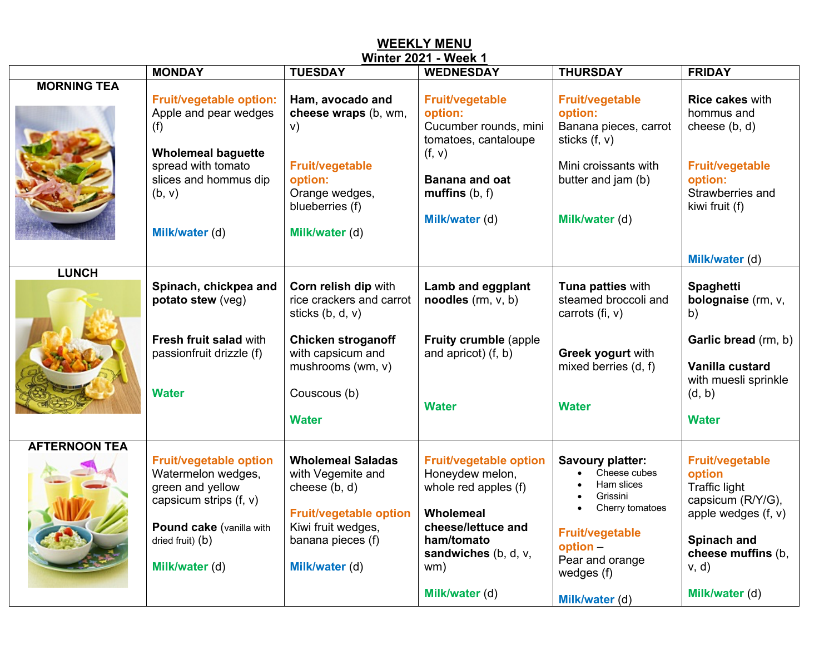|                      | <b>MONDAY</b>                                                                                                                                                          | <b>TUESDAY</b>                                                                                                                                                              | <b>WEDNESDAY</b>                                                                                                                                                           | <b>THURSDAY</b>                                                                                                                                                          | <b>FRIDAY</b>                                                                                                                                                         |
|----------------------|------------------------------------------------------------------------------------------------------------------------------------------------------------------------|-----------------------------------------------------------------------------------------------------------------------------------------------------------------------------|----------------------------------------------------------------------------------------------------------------------------------------------------------------------------|--------------------------------------------------------------------------------------------------------------------------------------------------------------------------|-----------------------------------------------------------------------------------------------------------------------------------------------------------------------|
| <b>MORNING TEA</b>   | <b>Fruit/vegetable option:</b><br>Apple and pear wedges<br>(f)<br><b>Wholemeal baguette</b><br>spread with tomato<br>slices and hommus dip<br>(b, v)<br>Milk/water (d) | Ham, avocado and<br>cheese wraps (b, wm,<br>V)<br><b>Fruit/vegetable</b><br>option:<br>Orange wedges,<br>blueberries (f)<br>Milk/water (d)                                  | <b>Fruit/vegetable</b><br>option:<br>Cucumber rounds, mini<br>tomatoes, cantaloupe<br>(f, v)<br><b>Banana and oat</b><br>muffins $(b, f)$<br>Milk/water (d)                | <b>Fruit/vegetable</b><br>option:<br>Banana pieces, carrot<br>sticks (f, v)<br>Mini croissants with<br>butter and jam (b)<br>Milk/water (d)                              | <b>Rice cakes with</b><br>hommus and<br>cheese (b, d)<br><b>Fruit/vegetable</b><br>option:<br>Strawberries and<br>kiwi fruit (f)                                      |
|                      |                                                                                                                                                                        |                                                                                                                                                                             |                                                                                                                                                                            |                                                                                                                                                                          | Milk/water (d)                                                                                                                                                        |
| <b>LUNCH</b>         | Spinach, chickpea and<br>potato stew (veg)<br>Fresh fruit salad with<br>passionfruit drizzle (f)<br><b>Water</b>                                                       | Corn relish dip with<br>rice crackers and carrot<br>sticks (b, d, v)<br><b>Chicken stroganoff</b><br>with capsicum and<br>mushrooms (wm, v)<br>Couscous (b)<br><b>Water</b> | Lamb and eggplant<br>noodles $(rm, v, b)$<br>Fruity crumble (apple<br>and apricot) (f, b)<br><b>Water</b>                                                                  | Tuna patties with<br>steamed broccoli and<br>carrots $(fi, v)$<br>Greek yogurt with<br>mixed berries (d, f)<br><b>Water</b>                                              | <b>Spaghetti</b><br>bolognaise (rm, v,<br>b)<br>Garlic bread (rm, b)<br>Vanilla custard<br>with muesli sprinkle<br>(d, b)<br><b>Water</b>                             |
| <b>AFTERNOON TEA</b> | <b>Fruit/vegetable option</b><br>Watermelon wedges,<br>green and yellow<br>capsicum strips $(f, v)$<br>Pound cake (vanilla with<br>dried fruit) (b)<br>Milk/water (d)  | <b>Wholemeal Saladas</b><br>with Vegemite and<br>cheese (b, d)<br><b>Fruit/vegetable option</b><br>Kiwi fruit wedges,<br>banana pieces (f)<br>Milk/water (d)                | <b>Fruit/vegetable option</b><br>Honeydew melon,<br>whole red apples (f)<br>Wholemeal<br>cheese/lettuce and<br>ham/tomato<br>sandwiches (b, d, v,<br>wm)<br>Milk/water (d) | Savoury platter:<br>Cheese cubes<br>Ham slices<br>Grissini<br>Cherry tomatoes<br><b>Fruit/vegetable</b><br>$option -$<br>Pear and orange<br>wedges (f)<br>Milk/water (d) | <b>Fruit/vegetable</b><br>option<br><b>Traffic light</b><br>capsicum (R/Y/G),<br>apple wedges $(f, v)$<br>Spinach and<br>cheese muffins (b,<br>v, d<br>Milk/water (d) |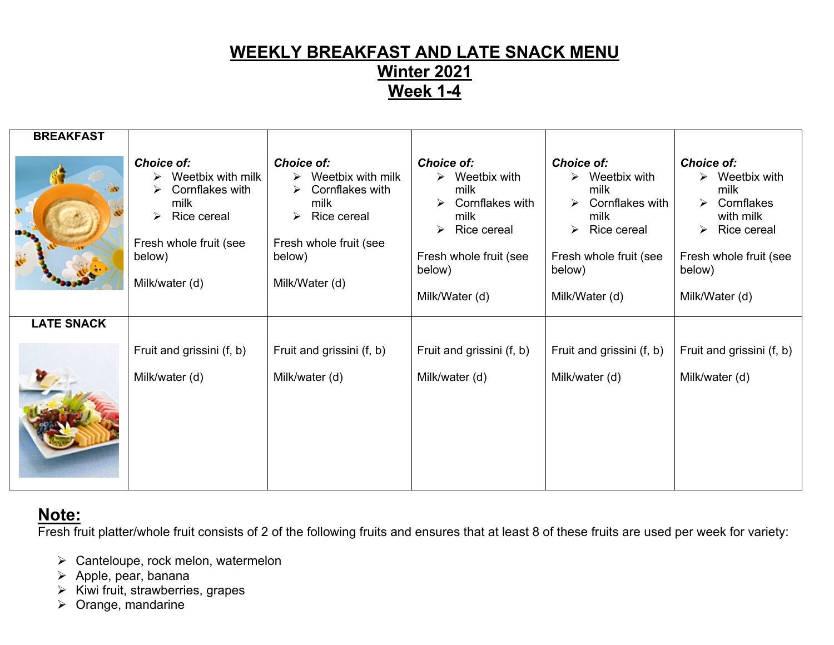## **WEEKLY BREAKFAST AND LATE SNACK MENU Winter 2021 Week 1-4**

| <b>BREAKFAST</b>  |                                                                                                                                                              |                                                                                                                                                                                                          |                                                                                                                                                                      |                                                                                                                                                                                                                     |                                                                                                                                                                                                              |
|-------------------|--------------------------------------------------------------------------------------------------------------------------------------------------------------|----------------------------------------------------------------------------------------------------------------------------------------------------------------------------------------------------------|----------------------------------------------------------------------------------------------------------------------------------------------------------------------|---------------------------------------------------------------------------------------------------------------------------------------------------------------------------------------------------------------------|--------------------------------------------------------------------------------------------------------------------------------------------------------------------------------------------------------------|
| $\mathbb{R}$      | <b>Choice of:</b><br>Weetbix with milk<br>⋗<br>Cornflakes with<br>↘<br>milk<br><b>Rice cereal</b><br>➤<br>Fresh whole fruit (see<br>below)<br>Milk/water (d) | <b>Choice of:</b><br>$\triangleright$ Weetbix with milk<br>$\triangleright$ Cornflakes with<br>milk<br><b>Rice cereal</b><br>$\blacktriangleright$<br>Fresh whole fruit (see<br>below)<br>Milk/Water (d) | <b>Choice of:</b><br>$\triangleright$ Weetbix with<br>milk<br>Cornflakes with<br>➤<br>milk<br>Rice cereal<br>➤<br>Fresh whole fruit (see<br>below)<br>Milk/Water (d) | <b>Choice of:</b><br>$\triangleright$ Weetbix with<br>milk<br>Cornflakes with<br>$\blacktriangleright$<br>milk<br><b>Rice cereal</b><br>$\blacktriangleright$<br>Fresh whole fruit (see<br>below)<br>Milk/Water (d) | <b>Choice of:</b><br>$\triangleright$ Weetbix with<br>milk<br>Cornflakes<br>$\blacktriangleright$<br>with milk<br>Rice cereal<br>$\blacktriangleright$<br>Fresh whole fruit (see<br>below)<br>Milk/Water (d) |
| <b>LATE SNACK</b> |                                                                                                                                                              |                                                                                                                                                                                                          |                                                                                                                                                                      |                                                                                                                                                                                                                     |                                                                                                                                                                                                              |
|                   | Fruit and grissini (f, b)<br>Milk/water (d)                                                                                                                  | Fruit and grissini (f, b)<br>Milk/water (d)                                                                                                                                                              | Fruit and grissini (f, b)<br>Milk/water (d)                                                                                                                          | Fruit and grissini (f, b)<br>Milk/water (d)                                                                                                                                                                         | Fruit and grissini (f, b)<br>Milk/water (d)                                                                                                                                                                  |

# **Note:**

Fresh fruit platter/whole fruit consists of 2 of the following fruits and ensures that at least 8 of these fruits are used per week for variety:

- $\triangleright$  Canteloupe, rock melon, watermelon
- $\triangleright$  Apple, pear, banana
- $\triangleright$  Kiwi fruit, strawberries, grapes
- $\triangleright$  Orange, mandarine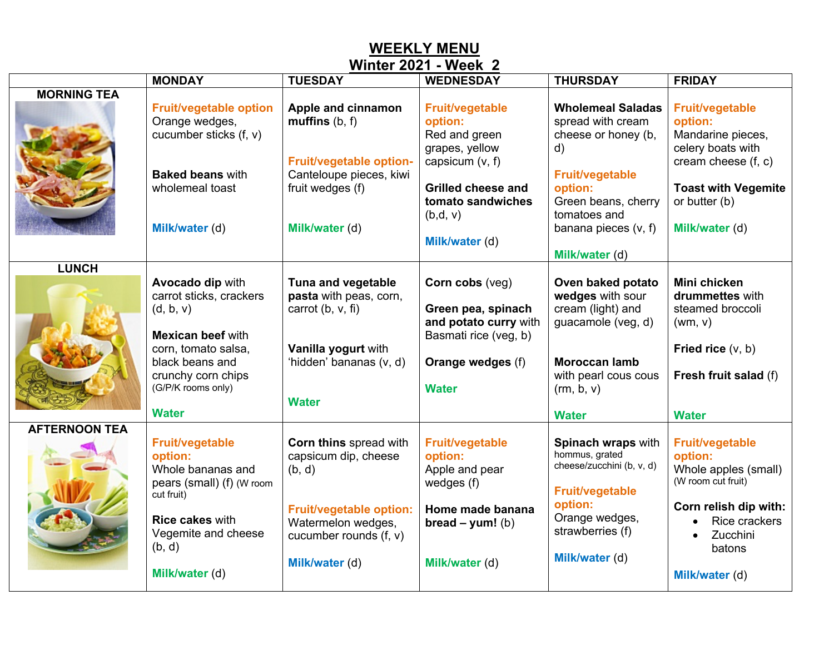|                      | <b>MONDAY</b>                                                                                                                                                                              | <b>TUESDAY</b>                                                                                                                                                 | <b>WEDNESDAY</b>                                                                                                                                                          | <b>THURSDAY</b>                                                                                                                                                                                  | <b>FRIDAY</b>                                                                                                                                                                     |
|----------------------|--------------------------------------------------------------------------------------------------------------------------------------------------------------------------------------------|----------------------------------------------------------------------------------------------------------------------------------------------------------------|---------------------------------------------------------------------------------------------------------------------------------------------------------------------------|--------------------------------------------------------------------------------------------------------------------------------------------------------------------------------------------------|-----------------------------------------------------------------------------------------------------------------------------------------------------------------------------------|
| <b>MORNING TEA</b>   | <b>Fruit/vegetable option</b><br>Orange wedges,<br>cucumber sticks (f, v)<br><b>Baked beans with</b><br>wholemeal toast<br>Milk/water (d)                                                  | Apple and cinnamon<br>multip, f)<br><b>Fruit/vegetable option-</b><br>Canteloupe pieces, kiwi<br>fruit wedges (f)<br>Milk/water (d)                            | <b>Fruit/vegetable</b><br>option:<br>Red and green<br>grapes, yellow<br>capsicum $(v, f)$<br><b>Grilled cheese and</b><br>tomato sandwiches<br>(b,d, v)<br>Milk/water (d) | <b>Wholemeal Saladas</b><br>spread with cream<br>cheese or honey (b,<br>d)<br><b>Fruit/vegetable</b><br>option:<br>Green beans, cherry<br>tomatoes and<br>banana pieces (v, f)<br>Milk/water (d) | <b>Fruit/vegetable</b><br>option:<br>Mandarine pieces,<br>celery boats with<br>cream cheese (f, c)<br><b>Toast with Vegemite</b><br>or butter (b)<br>Milk/water (d)               |
| <b>LUNCH</b>         |                                                                                                                                                                                            |                                                                                                                                                                |                                                                                                                                                                           |                                                                                                                                                                                                  |                                                                                                                                                                                   |
|                      | Avocado dip with<br>carrot sticks, crackers<br>(d, b, v)<br><b>Mexican beef with</b><br>corn, tomato salsa,<br>black beans and<br>crunchy corn chips<br>(G/P/K rooms only)<br><b>Water</b> | <b>Tuna and vegetable</b><br>pasta with peas, corn,<br>carrot (b, $v$ , fi)<br>Vanilla yogurt with<br>'hidden' bananas (v, d)<br><b>Water</b>                  | Corn cobs (veg)<br>Green pea, spinach<br>and potato curry with<br>Basmati rice (veg, b)<br>Orange wedges (f)<br><b>Water</b>                                              | Oven baked potato<br>wedges with sour<br>cream (light) and<br>guacamole (veg, d)<br><b>Moroccan lamb</b><br>with pearl cous cous<br>(rm, b, v)                                                   | <b>Mini chicken</b><br>drummettes with<br>steamed broccoli<br>(wm, v)<br>Fried rice $(v, b)$<br>Fresh fruit salad (f)                                                             |
| <b>AFTERNOON TEA</b> | <b>Fruit/vegetable</b><br>option:<br>Whole bananas and<br>pears (small) (f) (W room<br>cut fruit)<br><b>Rice cakes with</b><br>Vegemite and cheese<br>(b, d)<br>Milk/water (d)             | Corn thins spread with<br>capsicum dip, cheese<br>(b, d)<br><b>Fruit/vegetable option:</b><br>Watermelon wedges,<br>cucumber rounds $(f, v)$<br>Milk/water (d) | <b>Fruit/vegetable</b><br>option:<br>Apple and pear<br>wedges (f)<br>Home made banana<br>$\bm{b}$ read – yum! (b)<br>Milk/water (d)                                       | <b>Water</b><br>Spinach wraps with<br>hommus, grated<br>cheese/zucchini (b, v, d)<br><b>Fruit/vegetable</b><br>option:<br>Orange wedges,<br>strawberries (f)<br>Milk/water (d)                   | <b>Water</b><br><b>Fruit/vegetable</b><br>option:<br>Whole apples (small)<br>(W room cut fruit)<br>Corn relish dip with:<br>Rice crackers<br>Zucchini<br>batons<br>Milk/water (d) |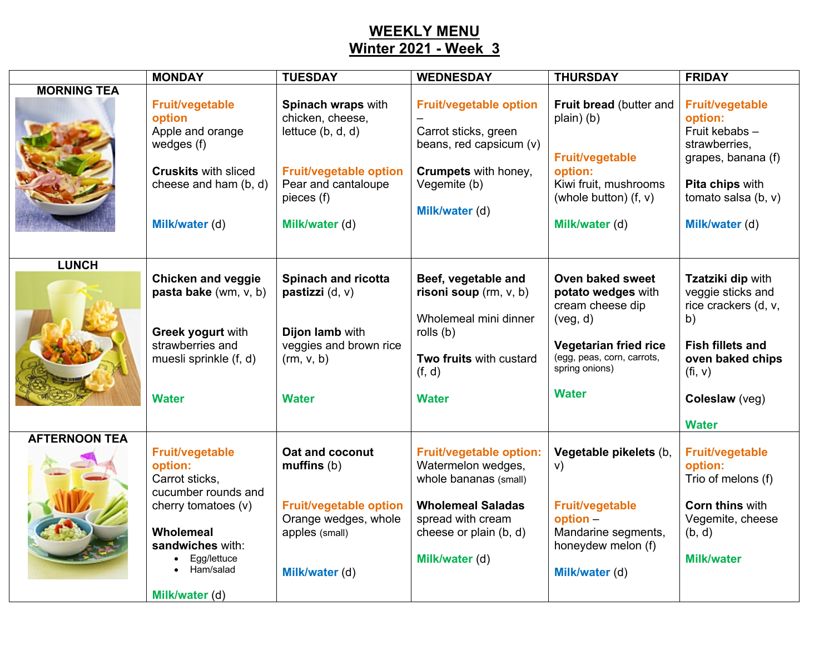|                      | <b>MONDAY</b>                                                                                                                                                                                              | <b>TUESDAY</b>                                                                                                                                        | <b>WEDNESDAY</b>                                                                                                                                                           | <b>THURSDAY</b>                                                                                                                                                                        | <b>FRIDAY</b>                                                                                                                                                           |
|----------------------|------------------------------------------------------------------------------------------------------------------------------------------------------------------------------------------------------------|-------------------------------------------------------------------------------------------------------------------------------------------------------|----------------------------------------------------------------------------------------------------------------------------------------------------------------------------|----------------------------------------------------------------------------------------------------------------------------------------------------------------------------------------|-------------------------------------------------------------------------------------------------------------------------------------------------------------------------|
| <b>MORNING TEA</b>   | <b>Fruit/vegetable</b><br>option<br>Apple and orange<br>wedges (f)<br><b>Cruskits with sliced</b><br>cheese and ham (b, d)<br>Milk/water (d)                                                               | Spinach wraps with<br>chicken, cheese,<br>lettuce $(b, d, d)$<br><b>Fruit/vegetable option</b><br>Pear and cantaloupe<br>pieces (f)<br>Milk/water (d) | <b>Fruit/vegetable option</b><br>Carrot sticks, green<br>beans, red capsicum (v)<br>Crumpets with honey,<br>Vegemite (b)<br>Milk/water (d)                                 | Fruit bread (butter and<br>plain) (b)<br><b>Fruit/vegetable</b><br>option:<br>Kiwi fruit, mushrooms<br>(whole button) $(f, v)$<br>Milk/water (d)                                       | <b>Fruit/vegetable</b><br>option:<br>Fruit kebabs-<br>strawberries,<br>grapes, banana (f)<br>Pita chips with<br>tomato salsa (b, v)<br>Milk/water (d)                   |
| <b>LUNCH</b>         | <b>Chicken and veggie</b><br>pasta bake (wm, v, b)<br>Greek yogurt with<br>strawberries and<br>muesli sprinkle (f, d)<br><b>Water</b>                                                                      | <b>Spinach and ricotta</b><br>pastizzi (d, v)<br>Dijon lamb with<br>veggies and brown rice<br>(rm, v, b)<br><b>Water</b>                              | Beef, vegetable and<br>risoni soup (rm, v, b)<br>Wholemeal mini dinner<br>rolls (b)<br>Two fruits with custard<br>(f, d)<br><b>Water</b>                                   | Oven baked sweet<br>potato wedges with<br>cream cheese dip<br>$(\text{veg}, \text{d})$<br><b>Vegetarian fried rice</b><br>(egg, peas, corn, carrots,<br>spring onions)<br><b>Water</b> | <b>Tzatziki dip with</b><br>veggie sticks and<br>rice crackers (d, v,<br>b)<br><b>Fish fillets and</b><br>oven baked chips<br>(fi, v)<br>Coleslaw (veg)<br><b>Water</b> |
| <b>AFTERNOON TEA</b> | <b>Fruit/vegetable</b><br>option:<br>Carrot sticks,<br>cucumber rounds and<br>cherry tomatoes (v)<br>Wholemeal<br>sandwiches with:<br>Egg/lettuce<br>$\bullet$<br>Ham/salad<br>$\bullet$<br>Milk/water (d) | Oat and coconut<br>multip <sub>mu</sub> (b)<br><b>Fruit/vegetable option</b><br>Orange wedges, whole<br>apples (small)<br>Milk/water (d)              | <b>Fruit/vegetable option:</b><br>Watermelon wedges,<br>whole bananas (small)<br><b>Wholemeal Saladas</b><br>spread with cream<br>cheese or plain (b, d)<br>Milk/water (d) | Vegetable pikelets (b,<br>V)<br><b>Fruit/vegetable</b><br>option -<br>Mandarine segments,<br>honeydew melon (f)<br>Milk/water (d)                                                      | <b>Fruit/vegetable</b><br>option:<br>Trio of melons (f)<br><b>Corn thins with</b><br>Vegemite, cheese<br>(b, d)<br><b>Milk/water</b>                                    |